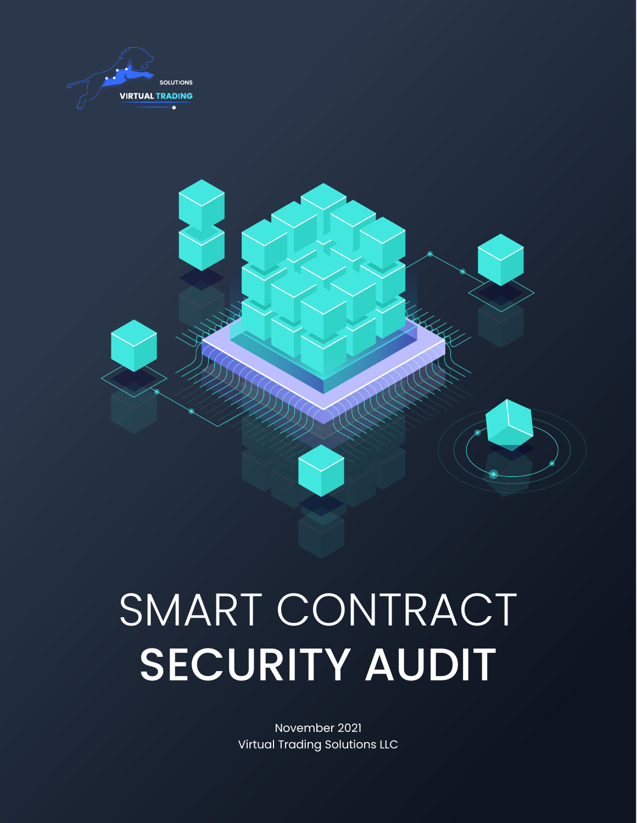



# SMART CONTRACT SECURITY AUDIT

November 2021 Virtual Trading Solutions LLC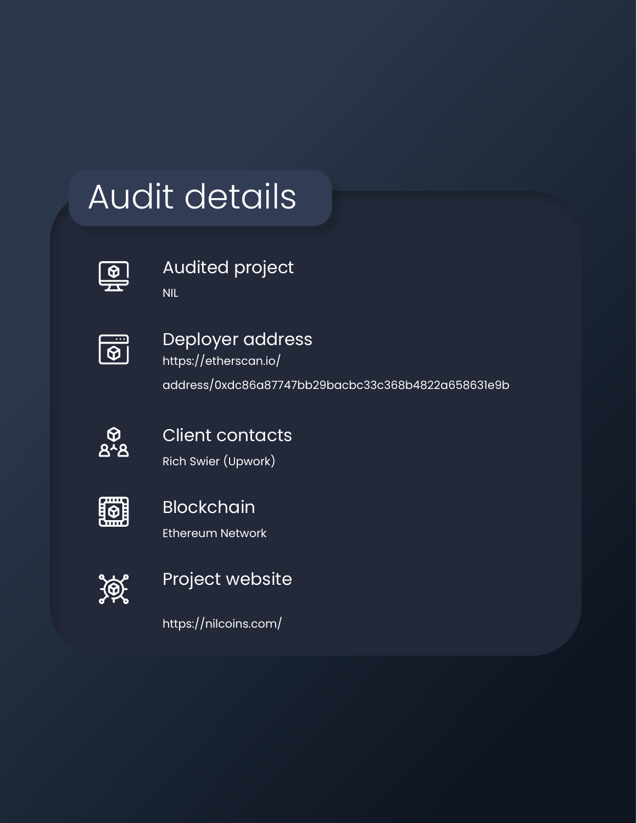### Audit details

Audited project

NIL



Deployer address https://etherscan.io/

address/0xdc86a87747bb29bacbc33c368b4822a658631e9b



Client contacts

Rich Swier (Upwork)

|  | . |  |  |
|--|---|--|--|

#### Blockchain

Ethereum Network

 $\mathscr{F}$ 

#### Project website

https://nilcoins.com/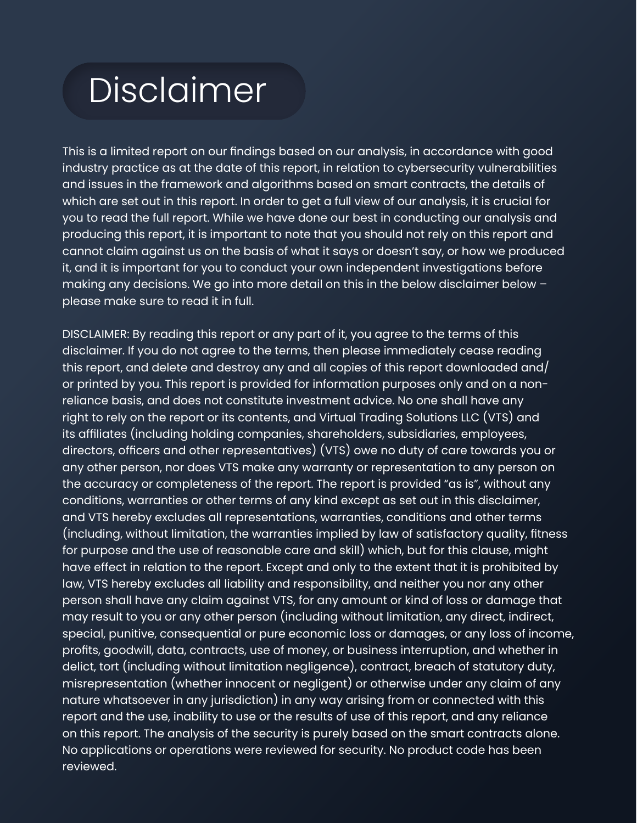#### Disclaimer

This is a limited report on our findings based on our analysis, in accordance with good industry practice as at the date of this report, in relation to cybersecurity vulnerabilities and issues in the framework and algorithms based on smart contracts, the details of which are set out in this report. In order to get a full view of our analysis, it is crucial for you to read the full report. While we have done our best in conducting our analysis and producing this report, it is important to note that you should not rely on this report and cannot claim against us on the basis of what it says or doesn't say, or how we produced it, and it is important for you to conduct your own independent investigations before making any decisions. We go into more detail on this in the below disclaimer below – please make sure to read it in full.

DISCLAIMER: By reading this report or any part of it, you agree to the terms of this disclaimer. If you do not agree to the terms, then please immediately cease reading this report, and delete and destroy any and all copies of this report downloaded and/ or printed by you. This report is provided for information purposes only and on a nonreliance basis, and does not constitute investment advice. No one shall have any right to rely on the report or its contents, and Virtual Trading Solutions LLC (VTS) and its affiliates (including holding companies, shareholders, subsidiaries, employees, directors, officers and other representatives) (VTS) owe no duty of care towards you or any other person, nor does VTS make any warranty or representation to any person on the accuracy or completeness of the report. The report is provided "as is", without any conditions, warranties or other terms of any kind except as set out in this disclaimer, and VTS hereby excludes all representations, warranties, conditions and other terms (including, without limitation, the warranties implied by law of satisfactory quality, fitness for purpose and the use of reasonable care and skill) which, but for this clause, might have effect in relation to the report. Except and only to the extent that it is prohibited by law, VTS hereby excludes all liability and responsibility, and neither you nor any other person shall have any claim against VTS, for any amount or kind of loss or damage that may result to you or any other person (including without limitation, any direct, indirect, special, punitive, consequential or pure economic loss or damages, or any loss of income, profits, goodwill, data, contracts, use of money, or business interruption, and whether in delict, tort (including without limitation negligence), contract, breach of statutory duty, misrepresentation (whether innocent or negligent) or otherwise under any claim of any nature whatsoever in any jurisdiction) in any way arising from or connected with this report and the use, inability to use or the results of use of this report, and any reliance on this report. The analysis of the security is purely based on the smart contracts alone. No applications or operations were reviewed for security. No product code has been reviewed.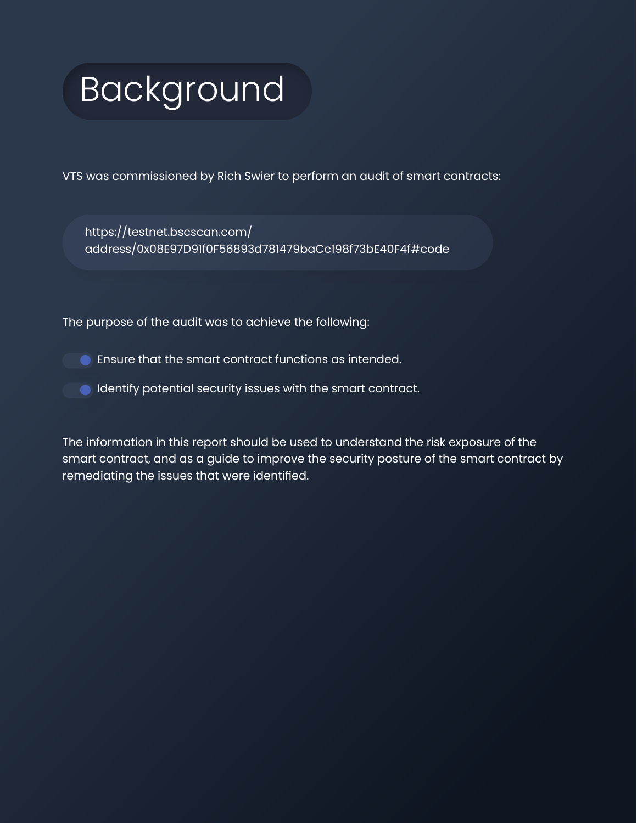## Background

VTS was commissioned by Rich Swier to perform an audit of smart contracts:

[https://testnet.bscscan.com/](https://testnet.bscscan.com/address/0x08E97D91f0F56893d781479baCc198f73bE40F4f#code) [address/0x08E97D91f0F56893d781479baCc198f73bE40F4f#code](https://testnet.bscscan.com/address/0x08E97D91f0F56893d781479baCc198f73bE40F4f#code)

The purpose of the audit was to achieve the following:

- Ensure that the smart contract functions as intended.
- **IDENTIFY CONTROLLET ISSUES** With the smart contract.

The information in this report should be used to understand the risk exposure of the smart contract, and as a guide to improve the security posture of the smart contract by remediating the issues that were identified.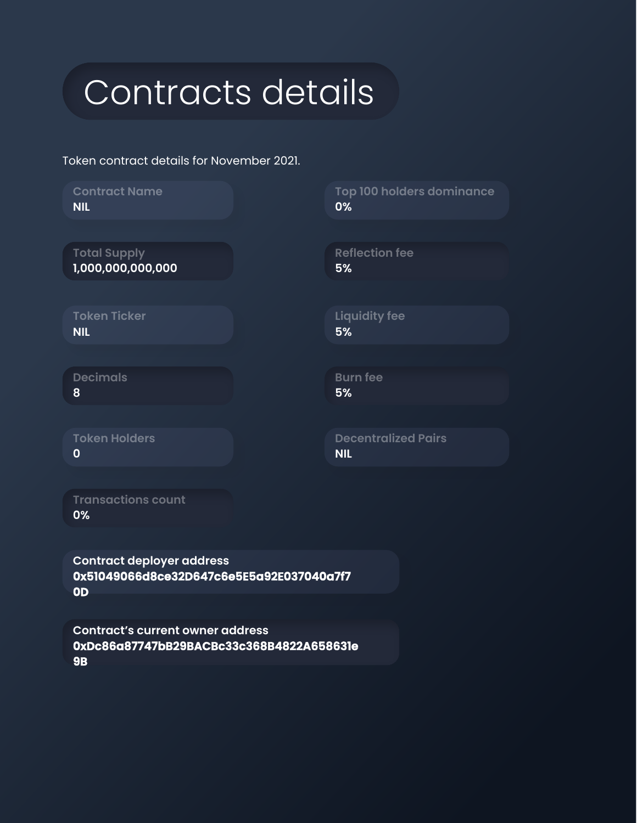#### Contracts details

Token contract details for November 2021.

| <b>Contract Name</b><br><b>NIL</b>       | Top 100 holders dominance<br>0%          |
|------------------------------------------|------------------------------------------|
|                                          |                                          |
| <b>Total Supply</b><br>1,000,000,000,000 | <b>Reflection fee</b><br>5%              |
|                                          |                                          |
| <b>Token Ticker</b><br><b>NIL</b>        | <b>Liquidity fee</b><br>5%               |
|                                          |                                          |
| <b>Decimals</b><br>8                     | <b>Burn fee</b><br>5%                    |
|                                          |                                          |
| <b>Token Holders</b><br>$\mathbf 0$      | <b>Decentralized Pairs</b><br><b>NIL</b> |
|                                          |                                          |
| <b>Transactions count</b>                |                                          |

**0%**

**Contract deployer address 0x51049066d8ce32D647c6e5E5a92E037040a7f7 0D**

**Contract's current owner address 0xDc86a87747bB29BACBc33c368B4822A658631e 9B**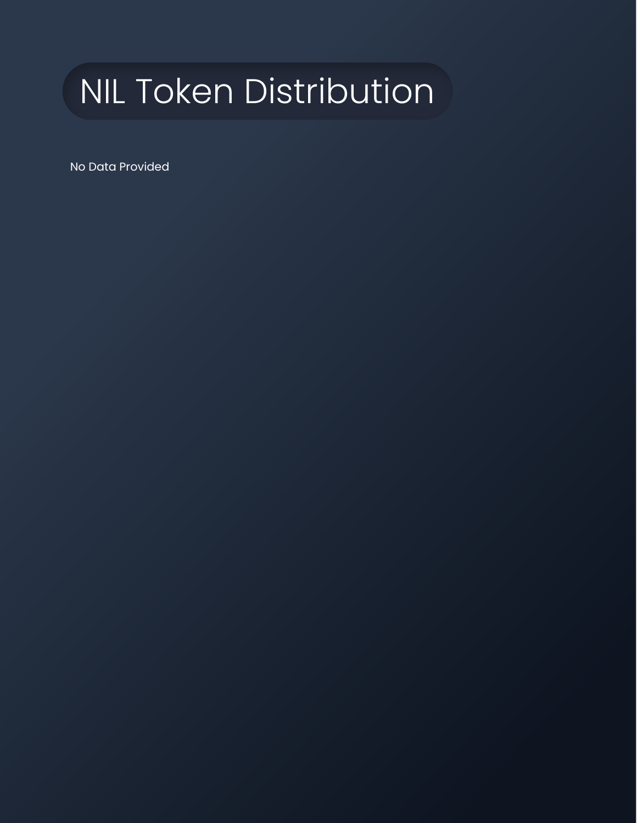## NIL Token Distribution

No Data Provided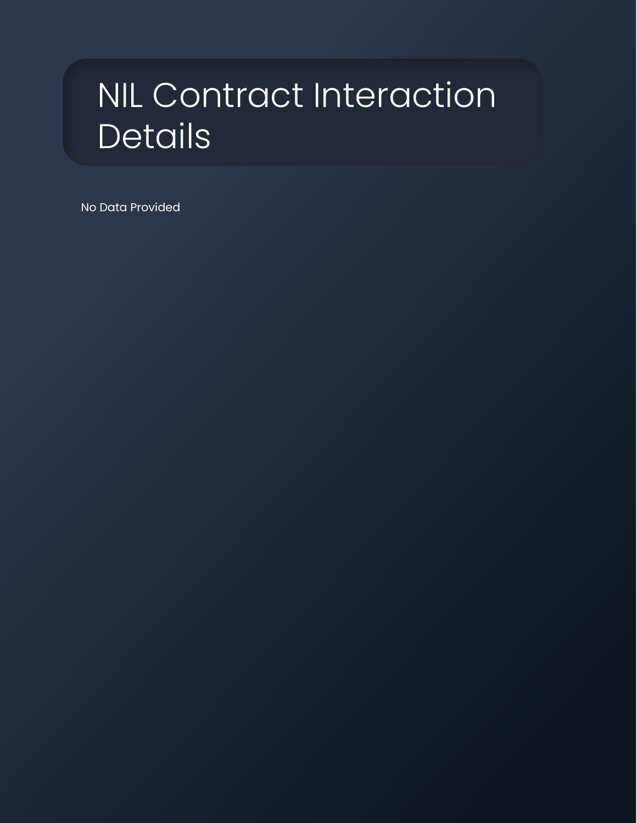#### NIL Contract Interaction Details

No Data Provided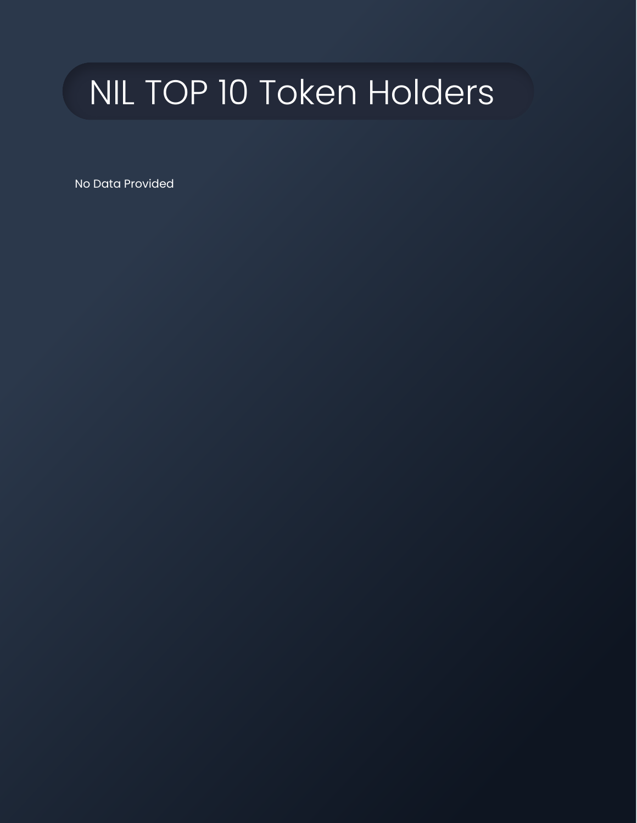## NIL TOP 10 Token Holders

No Data Provided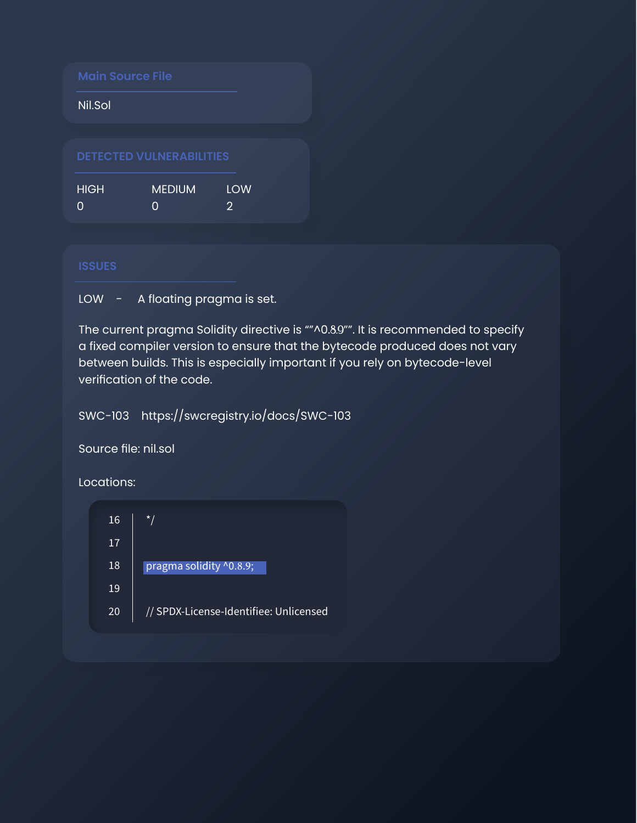| <b>Main Source File</b> |                                 |                       |  |
|-------------------------|---------------------------------|-----------------------|--|
| Nil.Sol                 |                                 |                       |  |
|                         |                                 |                       |  |
|                         | <b>DETECTED VULNERABILITIES</b> |                       |  |
| <b>HIGH</b>             | <b>MEDIUM</b>                   | LOW<br>$\mathfrak{D}$ |  |

LOW - A floating pragma is set.

The current pragma Solidity directive is ""^0.8.9"". It is recommended to specify a fixed compiler version to ensure that the bytecode produced does not vary between builds. This is especially important if you rely on bytecode-level verification of the code.

SWC-103 <https://swcregistry.io/docs/SWC-103>

Source file: nil.sol

Locations:

| 16 | $\star$ /                              |
|----|----------------------------------------|
| 17 |                                        |
| 18 | pragma solidity ^0.8.9;                |
| 19 |                                        |
| 20 | // SPDX-License-Identifiee: Unlicensed |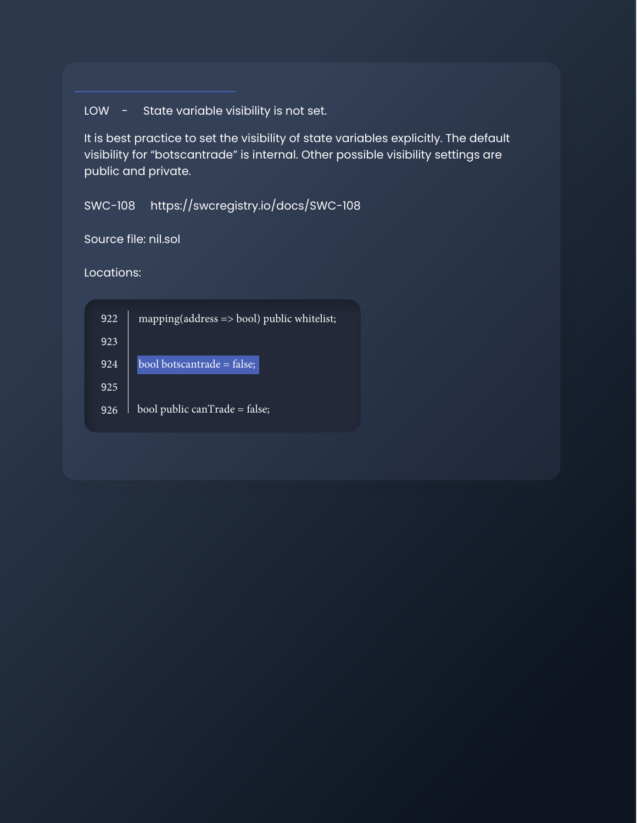LOW - State variable visibility is not set.

It is best practice to set the visibility of state variables explicitly. The default visibility for "botscantrade" is internal. Other possible visibility settings are public and private.

SWC-108 <https://swcregistry.io/docs/SWC-108>

Source file: nil.sol

Locations:

| 922 | $mapping(address \Rightarrow bool)$ public whitelist; |
|-----|-------------------------------------------------------|
| 923 |                                                       |
| 924 | bool botscantrade = $\bar{f}$ alse;                   |
| 925 |                                                       |
| 926 | bool public canTrade = false;                         |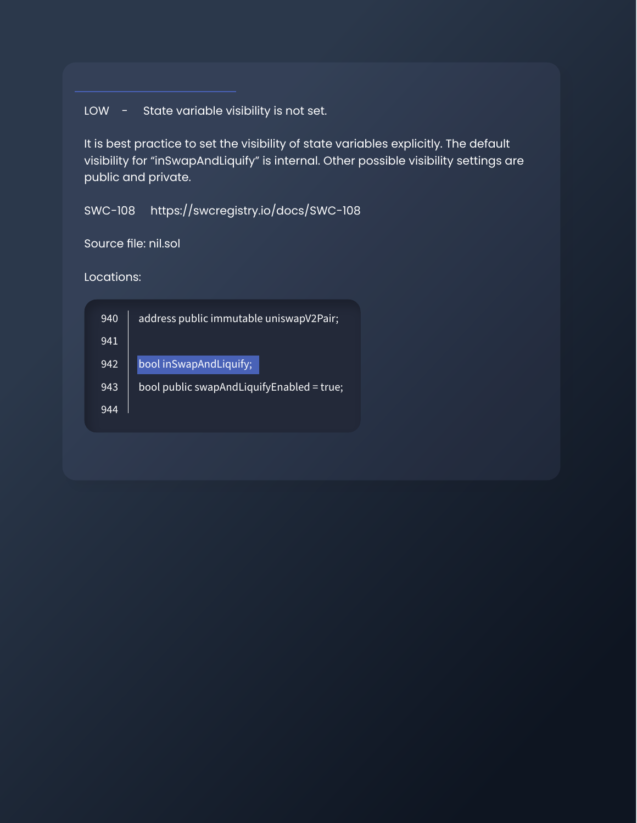LOW - State variable visibility is not set.

It is best practice to set the visibility of state variables explicitly. The default visibility for "inSwapAndLiquify" is internal. Other possible visibility settings are public and private.

SWC-108 <https://swcregistry.io/docs/SWC-108>

Source file: nil.sol

Locations:

| 940 | address public immutable uniswapV2Pair;   |
|-----|-------------------------------------------|
| 941 |                                           |
| 942 | bool inSwapAndLiquify;                    |
| 943 | bool public swapAndLiquifyEnabled = true; |
| 944 |                                           |